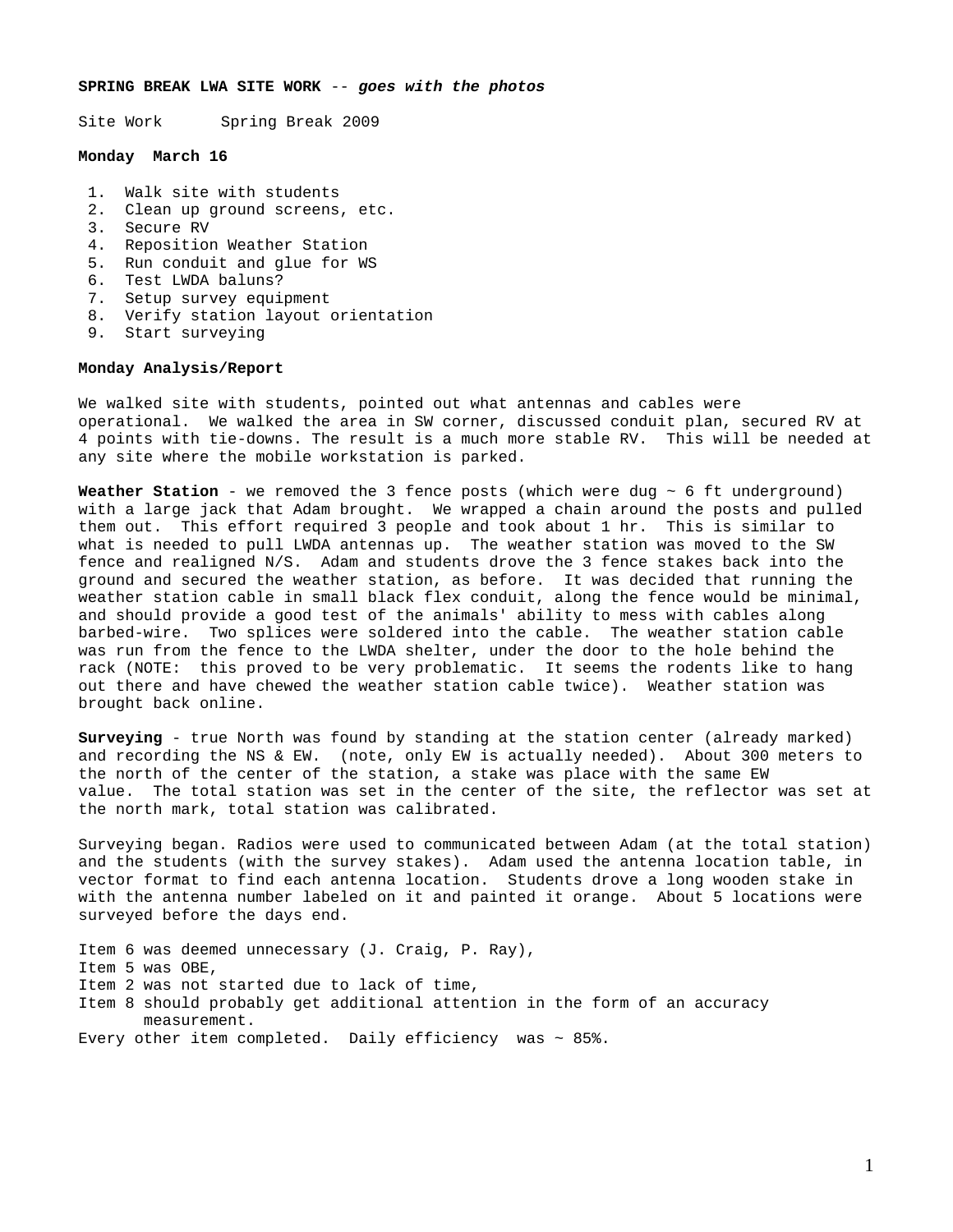### **SPRING BREAK LWA SITE WORK** -- *goes with the photos*

Site Work Spring Break 2009

### **Monday March 16**

- 1. Walk site with students
- 2. Clean up ground screens, etc.
- 3. Secure RV
- 4. Reposition Weather Station
- 5. Run conduit and glue for WS
- 6. Test LWDA baluns?
- 7. Setup survey equipment
- 8. Verify station layout orientation
- 9. Start surveying

# **Monday Analysis/Report**

We walked site with students, pointed out what antennas and cables were operational. We walked the area in SW corner, discussed conduit plan, secured RV at 4 points with tie-downs. The result is a much more stable RV. This will be needed at any site where the mobile workstation is parked.

**Weather Station** - we removed the 3 fence posts (which were dug ~ 6 ft underground) with a large jack that Adam brought. We wrapped a chain around the posts and pulled them out. This effort required 3 people and took about 1 hr. This is similar to what is needed to pull LWDA antennas up. The weather station was moved to the SW fence and realigned N/S. Adam and students drove the 3 fence stakes back into the ground and secured the weather station, as before. It was decided that running the weather station cable in small black flex conduit, along the fence would be minimal, and should provide a good test of the animals' ability to mess with cables along barbed-wire. Two splices were soldered into the cable. The weather station cable was run from the fence to the LWDA shelter, under the door to the hole behind the rack (NOTE: this proved to be very problematic. It seems the rodents like to hang out there and have chewed the weather station cable twice). Weather station was brought back online.

**Surveying** - true North was found by standing at the station center (already marked) and recording the NS & EW. (note, only EW is actually needed). About 300 meters to the north of the center of the station, a stake was place with the same EW value. The total station was set in the center of the site, the reflector was set at the north mark, total station was calibrated.

Surveying began. Radios were used to communicated between Adam (at the total station) and the students (with the survey stakes). Adam used the antenna location table, in vector format to find each antenna location. Students drove a long wooden stake in with the antenna number labeled on it and painted it orange. About 5 locations were surveyed before the days end.

Item 6 was deemed unnecessary (J. Craig, P. Ray), Item 5 was OBE, Item 2 was not started due to lack of time, Item 8 should probably get additional attention in the form of an accuracy measurement. Every other item completed. Daily efficiency was  $\sim$  85%.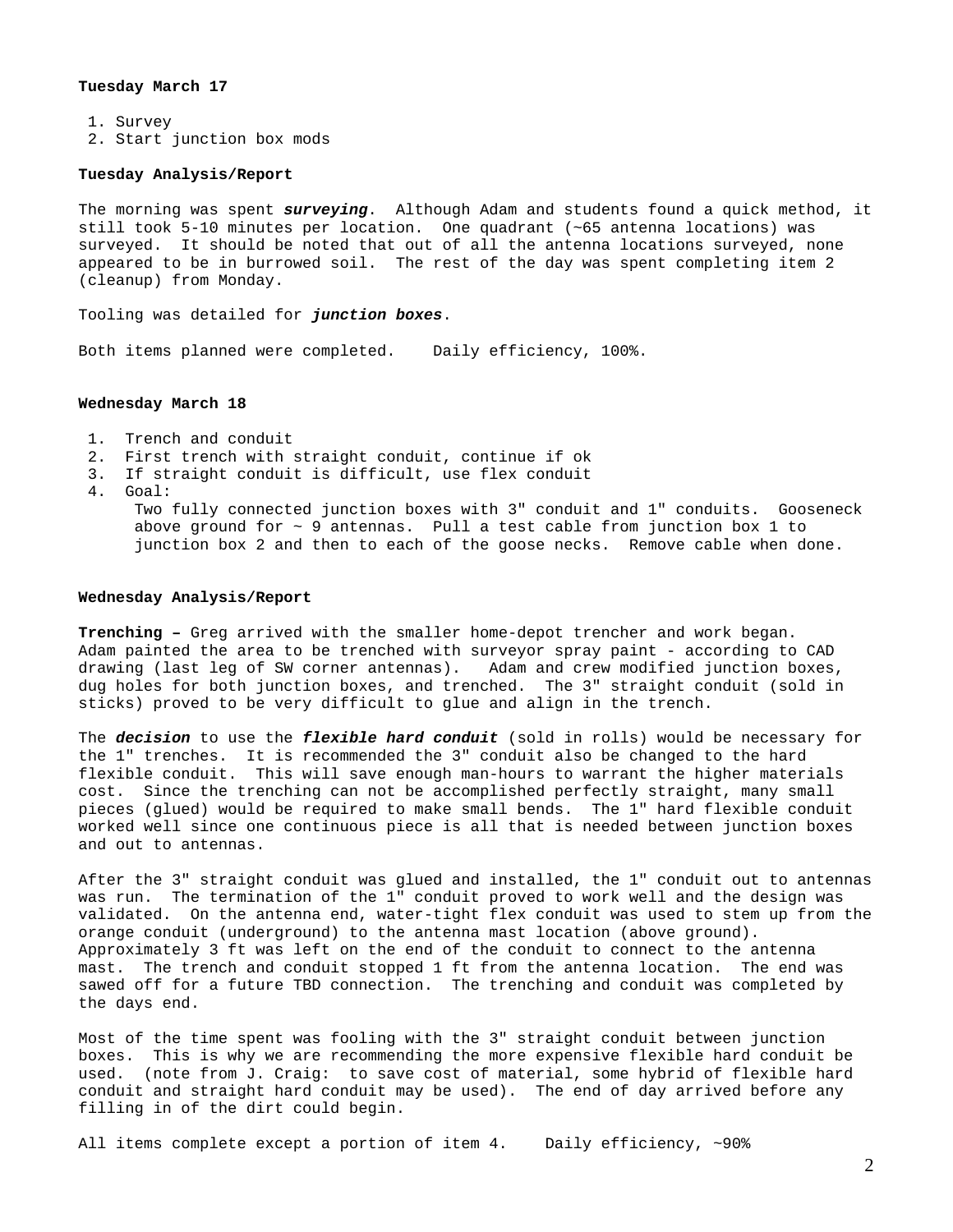## **Tuesday March 17**

1. Survey

2. Start junction box mods

#### **Tuesday Analysis/Report**

The morning was spent *surveying*. Although Adam and students found a quick method, it still took 5-10 minutes per location. One quadrant (~65 antenna locations) was surveyed. It should be noted that out of all the antenna locations surveyed, none appeared to be in burrowed soil. The rest of the day was spent completing item 2 (cleanup) from Monday.

Tooling was detailed for *junction boxes*.

Both items planned were completed. Daily efficiency, 100%.

### **Wednesday March 18**

- 1. Trench and conduit
- 2. First trench with straight conduit, continue if ok
- 3. If straight conduit is difficult, use flex conduit
- 4. Goal:

Two fully connected junction boxes with 3" conduit and 1" conduits. Gooseneck above ground for  $\sim$  9 antennas. Pull a test cable from junction box 1 to junction box 2 and then to each of the goose necks. Remove cable when done.

### **Wednesday Analysis/Report**

**Trenching –** Greg arrived with the smaller home-depot trencher and work began. Adam painted the area to be trenched with surveyor spray paint - according to CAD drawing (last leg of SW corner antennas). Adam and crew modified junction boxes, dug holes for both junction boxes, and trenched. The 3" straight conduit (sold in sticks) proved to be very difficult to glue and align in the trench.

The *decision* to use the *flexible hard conduit* (sold in rolls) would be necessary for the 1" trenches. It is recommended the 3" conduit also be changed to the hard flexible conduit. This will save enough man-hours to warrant the higher materials cost. Since the trenching can not be accomplished perfectly straight, many small pieces (glued) would be required to make small bends. The 1" hard flexible conduit worked well since one continuous piece is all that is needed between junction boxes and out to antennas.

After the 3" straight conduit was glued and installed, the 1" conduit out to antennas was run. The termination of the 1" conduit proved to work well and the design was validated. On the antenna end, water-tight flex conduit was used to stem up from the orange conduit (underground) to the antenna mast location (above ground). Approximately 3 ft was left on the end of the conduit to connect to the antenna mast. The trench and conduit stopped 1 ft from the antenna location. The end was sawed off for a future TBD connection. The trenching and conduit was completed by the days end.

Most of the time spent was fooling with the 3" straight conduit between junction boxes. This is why we are recommending the more expensive flexible hard conduit be used. (note from J. Craig: to save cost of material, some hybrid of flexible hard conduit and straight hard conduit may be used). The end of day arrived before any filling in of the dirt could begin.

All items complete except a portion of item 4. Daily efficiency, ~90%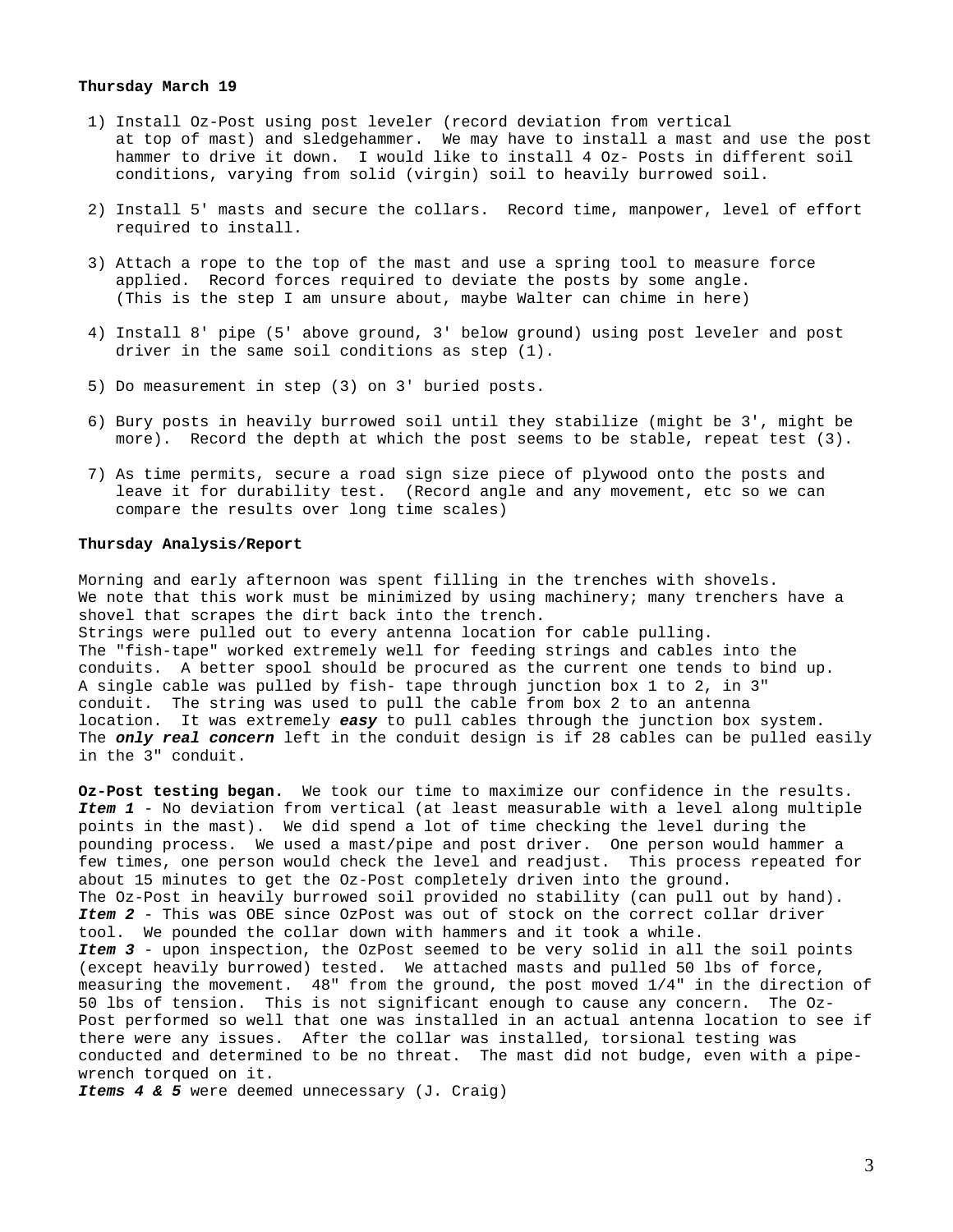## **Thursday March 19**

- 1) Install Oz-Post using post leveler (record deviation from vertical at top of mast) and sledgehammer. We may have to install a mast and use the post hammer to drive it down. I would like to install 4 Oz- Posts in different soil conditions, varying from solid (virgin) soil to heavily burrowed soil.
- 2) Install 5' masts and secure the collars. Record time, manpower, level of effort required to install.
- 3) Attach a rope to the top of the mast and use a spring tool to measure force applied. Record forces required to deviate the posts by some angle. (This is the step I am unsure about, maybe Walter can chime in here)
- 4) Install 8' pipe (5' above ground, 3' below ground) using post leveler and post driver in the same soil conditions as step (1).
- 5) Do measurement in step (3) on 3' buried posts.
- 6) Bury posts in heavily burrowed soil until they stabilize (might be 3', might be more). Record the depth at which the post seems to be stable, repeat test (3).
- 7) As time permits, secure a road sign size piece of plywood onto the posts and leave it for durability test. (Record angle and any movement, etc so we can compare the results over long time scales)

#### **Thursday Analysis/Report**

Morning and early afternoon was spent filling in the trenches with shovels. We note that this work must be minimized by using machinery; many trenchers have a shovel that scrapes the dirt back into the trench. Strings were pulled out to every antenna location for cable pulling. The "fish-tape" worked extremely well for feeding strings and cables into the conduits. A better spool should be procured as the current one tends to bind up. A single cable was pulled by fish- tape through junction box 1 to 2, in 3" conduit. The string was used to pull the cable from box 2 to an antenna location. It was extremely *easy* to pull cables through the junction box system. The *only real concern* left in the conduit design is if 28 cables can be pulled easily in the 3" conduit.

**Oz-Post testing began.** We took our time to maximize our confidence in the results. *Item 1* - No deviation from vertical (at least measurable with a level along multiple points in the mast). We did spend a lot of time checking the level during the pounding process. We used a mast/pipe and post driver. One person would hammer a few times, one person would check the level and readjust. This process repeated for about 15 minutes to get the Oz-Post completely driven into the ground. The Oz-Post in heavily burrowed soil provided no stability (can pull out by hand). *Item 2* - This was OBE since OzPost was out of stock on the correct collar driver tool. We pounded the collar down with hammers and it took a while. *Item 3* - upon inspection, the OzPost seemed to be very solid in all the soil points (except heavily burrowed) tested. We attached masts and pulled 50 lbs of force, measuring the movement. 48" from the ground, the post moved 1/4" in the direction of 50 lbs of tension. This is not significant enough to cause any concern. The Oz-Post performed so well that one was installed in an actual antenna location to see if there were any issues. After the collar was installed, torsional testing was conducted and determined to be no threat. The mast did not budge, even with a pipewrench torqued on it.

*Items 4 & 5* were deemed unnecessary (J. Craig)